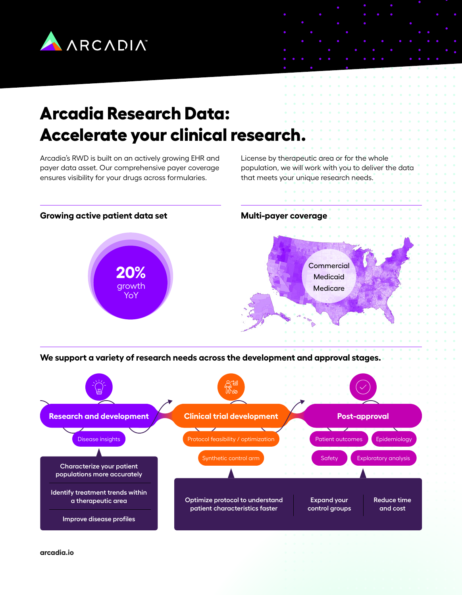

# **Arcadia Research Data: Accelerate your clinical research.**

Arcadia's RWD is built on an actively growing EHR and payer data asset. Our comprehensive payer coverage ensures visibility for your drugs across formularies.

License by therapeutic area or for the whole population, we will work with you to deliver the data that meets your unique research needs.